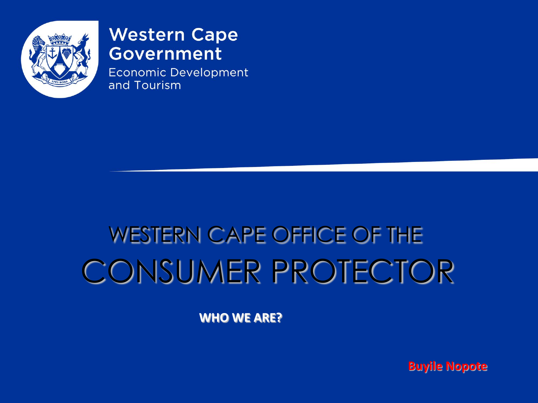

#### **Western Cape Government**

**Economic Development** and Tourism

# **WESTERN CAPE OFFICE OF THE CONSUMER PROTECTOR**

**WHO WE ARE?** 

**Buyile Nopote**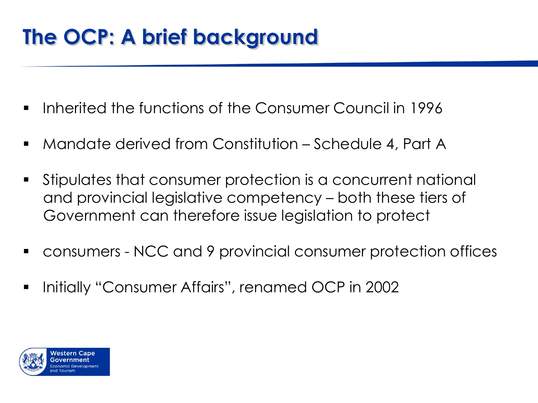## **The OCP: A brief background**

- $\blacksquare$  Inherited the functions of the Consumer Council in 1996
- Mandate derived from Constitution Schedule 4, Part A
- Stipulates that consumer protection is a concurrent national and provincial legislative competency – both these tiers of Government can therefore issue legislation to protect
- consumers NCC and 9 provincial consumer protection offices
- **•** Initially "Consumer Affairs", renamed OCP in 2002

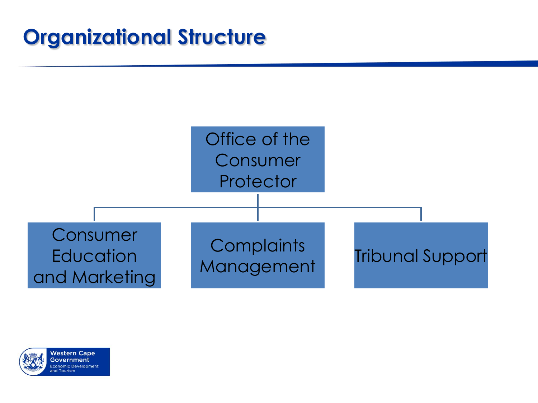## **Organizational Structure**



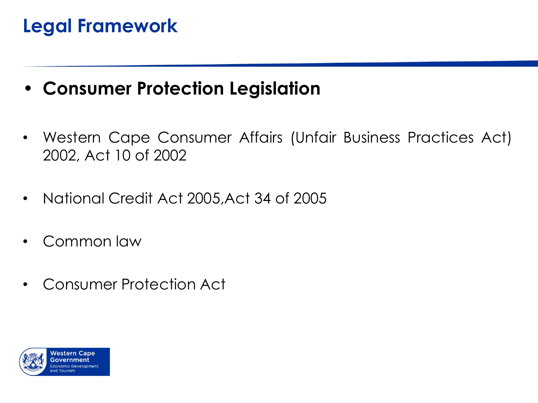### **Legal Framework**

#### • **Consumer Protection Legislation**

- Western Cape Consumer Affairs (Unfair Business Practices Act) 2002, Act 10 of 2002
- National Credit Act 2005,Act 34 of 2005
- Common law
- Consumer Protection Act

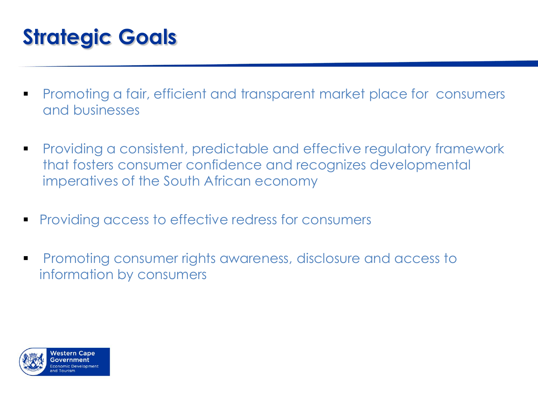## **Strategic Goals**

- **Promoting a fair, efficient and transparent market place for consumers** and businesses
- **Providing a consistent, predictable and effective regulatory framework** that fosters consumer confidence and recognizes developmental imperatives of the South African economy
- **Providing access to effective redress for consumers**
- **Promoting consumer rights awareness, disclosure and access to** information by consumers